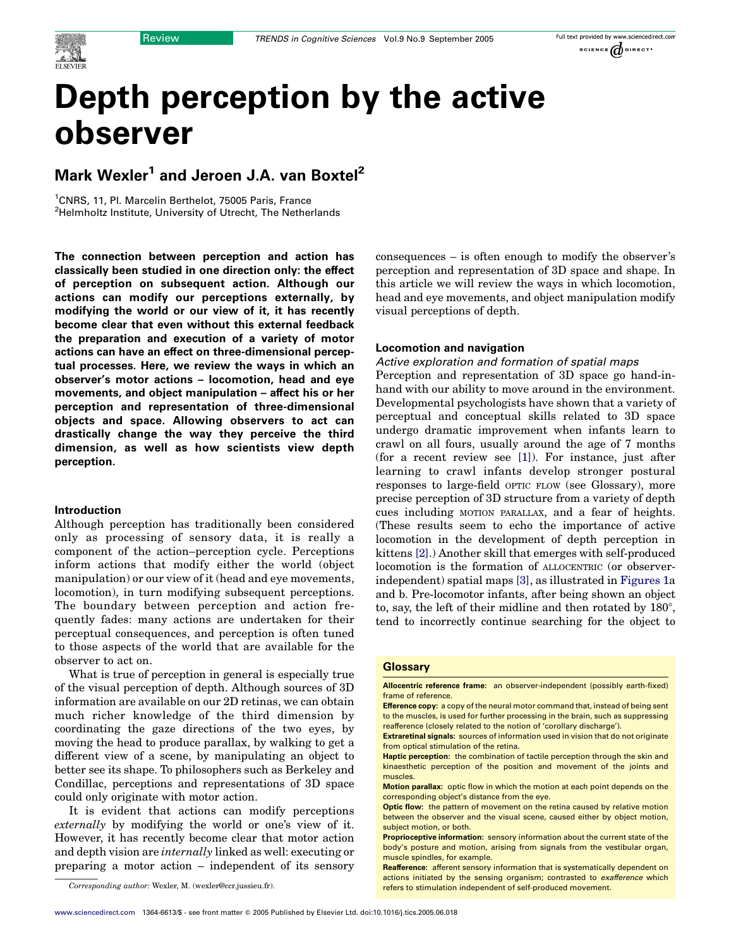

# Depth perception by the active observer

# Mark Wexler<sup>1</sup> and Jeroen J.A. van Boxtel<sup>2</sup>

<sup>1</sup>CNRS, 11, Pl. Marcelin Berthelot, 75005 Paris, France <sup>2</sup>Helmholtz Institute, University of Utrecht, The Netherlands

The connection between perception and action has classically been studied in one direction only: the effect of perception on subsequent action. Although our actions can modify our perceptions externally, by modifying the world or our view of it, it has recently become clear that even without this external feedback the preparation and execution of a variety of motor actions can have an effect on three-dimensional perceptual processes. Here, we review the ways in which an observer's motor actions – locomotion, head and eye movements, and object manipulation – affect his or her perception and representation of three-dimensional objects and space. Allowing observers to act can drastically change the way they perceive the third dimension, as well as how scientists view depth perception.

#### Introduction

Although perception has traditionally been considered only as processing of sensory data, it is really a component of the action–perception cycle. Perceptions inform actions that modify either the world (object manipulation) or our view of it (head and eye movements, locomotion), in turn modifying subsequent perceptions. The boundary between perception and action frequently fades: many actions are undertaken for their perceptual consequences, and perception is often tuned to those aspects of the world that are available for the observer to act on.

What is true of perception in general is especially true of the visual perception of depth. Although sources of 3D information are available on our 2D retinas, we can obtain much richer knowledge of the third dimension by coordinating the gaze directions of the two eyes, by moving the head to produce parallax, by walking to get a different view of a scene, by manipulating an object to better see its shape. To philosophers such as Berkeley and Condillac, perceptions and representations of 3D space could only originate with motor action.

It is evident that actions can modify perceptions externally by modifying the world or one's view of it. However, it has recently become clear that motor action and depth vision are internally linked as well: executing or preparing a motor action – independent of its sensory

consequences – is often enough to modify the observer's perception and representation of 3D space and shape. In this article we will review the ways in which locomotion, head and eye movements, and object manipulation modify visual perceptions of depth.

#### Locomotion and navigation

#### Active exploration and formation of spatial maps

Perception and representation of 3D space go hand-inhand with our ability to move around in the environment. Developmental psychologists have shown that a variety of perceptual and conceptual skills related to 3D space undergo dramatic improvement when infants learn to crawl on all fours, usually around the age of 7 months (for a recent review see [\[1\]](#page-6-0)). For instance, just after learning to crawl infants develop stronger postural responses to large-field OPTIC FLOW (see Glossary), more precise perception of 3D structure from a variety of depth cues including MOTION PARALLAX, and a fear of heights. (These results seem to echo the importance of active locomotion in the development of depth perception in kittens [\[2\]](#page-6-0).) Another skill that emerges with self-produced locomotion is the formation of ALLOCENTRIC (or observerindependent) spatial maps [\[3\],](#page-6-0) as illustrated in [Figures 1a](#page-1-0) and b. Pre-locomotor infants, after being shown an object to, say, the left of their midline and then rotated by 180*8*, tend to incorrectly continue searching for the object to

#### **Glossary**

Allocentric reference frame: an observer-independent (possibly earth-fixed) frame of reference.

Efference copy: a copy of the neural motor command that, instead of being sent to the muscles, is used for further processing in the brain, such as suppressing reafference (closely related to the notion of 'corollary discharge').

Extraretinal signals: sources of information used in vision that do not originate from optical stimulation of the retina.

Haptic perception: the combination of tactile perception through the skin and kinaesthetic perception of the position and movement of the joints and muscles.

Motion parallax: optic flow in which the motion at each point depends on the corresponding object's distance from the eye.

**Optic flow:** the pattern of movement on the retina caused by relative motion between the observer and the visual scene, caused either by object motion, subject motion, or both.

Proprioceptive information: sensory information about the current state of the body's posture and motion, arising from signals from the vestibular organ, muscle spindles, for example.

Reafference: afferent sensory information that is systematically dependent on actions initiated by the sensing organism; contrasted to exafference which Corresponding author: Wexler, M. (wexler@ccr.jussieu.fr). The refers to stimulation independent of self-produced movement.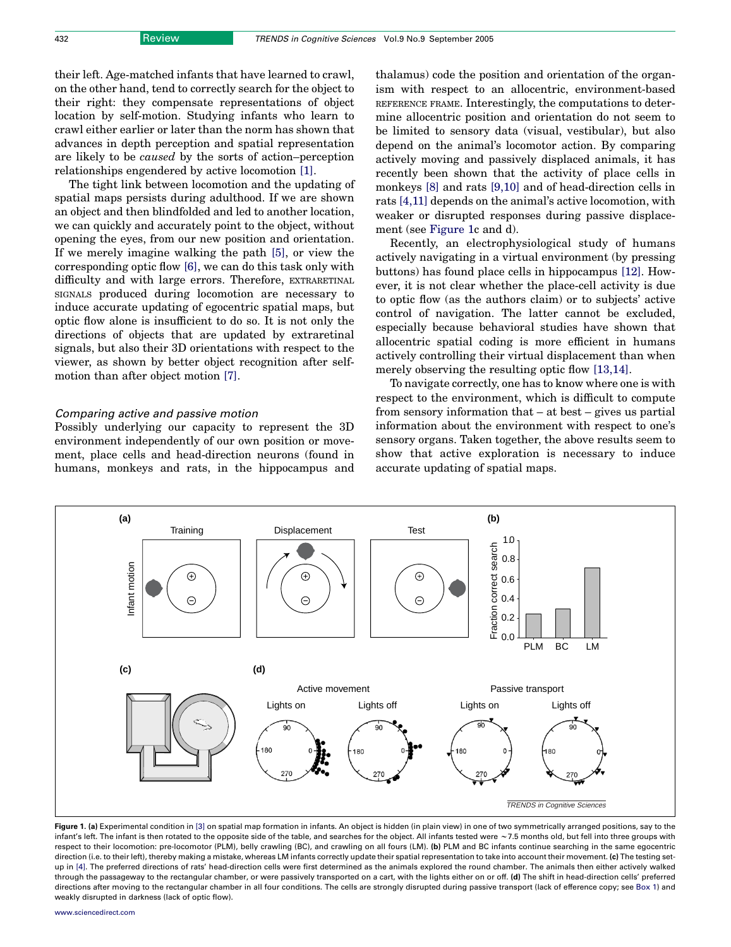<span id="page-1-0"></span>their left. Age-matched infants that have learned to crawl, on the other hand, tend to correctly search for the object to their right: they compensate representations of object location by self-motion. Studying infants who learn to crawl either earlier or later than the norm has shown that advances in depth perception and spatial representation are likely to be caused by the sorts of action–perception relationships engendered by active locomotion [\[1\].](#page-6-0)

The tight link between locomotion and the updating of spatial maps persists during adulthood. If we are shown an object and then blindfolded and led to another location, we can quickly and accurately point to the object, without opening the eyes, from our new position and orientation. If we merely imagine walking the path [\[5\],](#page-6-0) or view the corresponding optic flow [\[6\]](#page-6-0), we can do this task only with difficulty and with large errors. Therefore, EXTRARETINAL SIGNALS produced during locomotion are necessary to induce accurate updating of egocentric spatial maps, but optic flow alone is insufficient to do so. It is not only the directions of objects that are updated by extraretinal signals, but also their 3D orientations with respect to the viewer, as shown by better object recognition after selfmotion than after object motion [\[7\].](#page-6-0)

# Comparing active and passive motion

Possibly underlying our capacity to represent the 3D environment independently of our own position or movement, place cells and head-direction neurons (found in humans, monkeys and rats, in the hippocampus and thalamus) code the position and orientation of the organism with respect to an allocentric, environment-based REFERENCE FRAME. Interestingly, the computations to determine allocentric position and orientation do not seem to be limited to sensory data (visual, vestibular), but also depend on the animal's locomotor action. By comparing actively moving and passively displaced animals, it has recently been shown that the activity of place cells in monkeys [\[8\]](#page-6-0) and rats [\[9,10\]](#page-6-0) and of head-direction cells in rats [\[4,11\]](#page-6-0) depends on the animal's active locomotion, with weaker or disrupted responses during passive displacement (see Figure 1c and d).

Recently, an electrophysiological study of humans actively navigating in a virtual environment (by pressing buttons) has found place cells in hippocampus [\[12\]](#page-6-0). However, it is not clear whether the place-cell activity is due to optic flow (as the authors claim) or to subjects' active control of navigation. The latter cannot be excluded, especially because behavioral studies have shown that allocentric spatial coding is more efficient in humans actively controlling their virtual displacement than when merely observing the resulting optic flow [\[13,14\].](#page-6-0)

To navigate correctly, one has to know where one is with respect to the environment, which is difficult to compute from sensory information that – at best – gives us partial information about the environment with respect to one's sensory organs. Taken together, the above results seem to show that active exploration is necessary to induce accurate updating of spatial maps.



Figure 1. (a) Experimental condition in [\[3\]](#page-6-0) on spatial map formation in infants. An object is hidden (in plain view) in one of two symmetrically arranged positions, say to the infant's left. The infant is then rotated to the opposite side of the table, and searches for the object. All infants tested were *w*7.5 months old, but fell into three groups with respect to their locomotion: pre-locomotor (PLM), belly crawling (BC), and crawling on all fours (LM). (b) PLM and BC infants continue searching in the same egocentric direction (i.e. to their left), thereby making a mistake, whereas LM infants correctly update their spatial representation to take into account their movement. (c) The testing setup in [\[4\].](#page-6-0) The preferred directions of rats' head-direction cells were first determined as the animals explored the round chamber. The animals then either actively walked through the passageway to the rectangular chamber, or were passively transported on a cart, with the lights either on or off. (d) The shift in head-direction cells' preferred directions after moving to the rectangular chamber in all four conditions. The cells are strongly disrupted during passive transport (lack of efference copy; see Box 1) and weakly disrupted in darkness (lack of optic flow).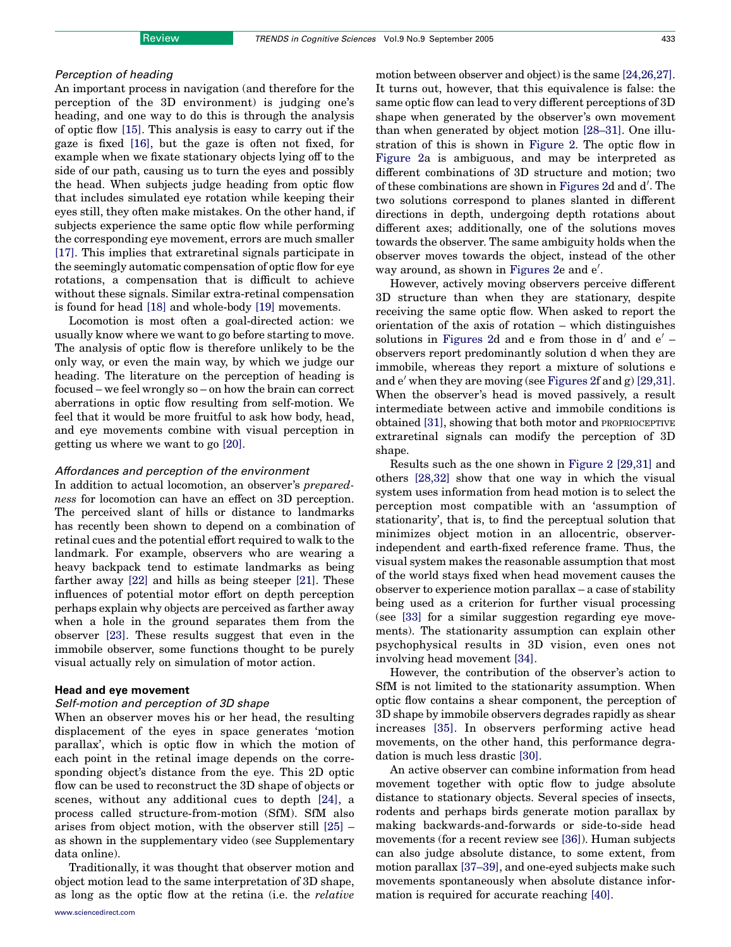# Perception of heading

An important process in navigation (and therefore for the perception of the 3D environment) is judging one's heading, and one way to do this is through the analysis of optic flow [\[15\].](#page-6-0) This analysis is easy to carry out if the gaze is fixed [\[16\],](#page-6-0) but the gaze is often not fixed, for example when we fixate stationary objects lying off to the side of our path, causing us to turn the eyes and possibly the head. When subjects judge heading from optic flow that includes simulated eye rotation while keeping their eyes still, they often make mistakes. On the other hand, if subjects experience the same optic flow while performing the corresponding eye movement, errors are much smaller [\[17\].](#page-6-0) This implies that extraretinal signals participate in the seemingly automatic compensation of optic flow for eye rotations, a compensation that is difficult to achieve without these signals. Similar extra-retinal compensation is found for head [\[18\]](#page-6-0) and whole-body [\[19\]](#page-6-0) movements.

Locomotion is most often a goal-directed action: we usually know where we want to go before starting to move. The analysis of optic flow is therefore unlikely to be the only way, or even the main way, by which we judge our heading. The literature on the perception of heading is focused – we feel wrongly so – on how the brain can correct aberrations in optic flow resulting from self-motion. We feel that it would be more fruitful to ask how body, head, and eye movements combine with visual perception in getting us where we want to go [\[20\].](#page-6-0)

#### Affordances and perception of the environment

In addition to actual locomotion, an observer's *prepared*ness for locomotion can have an effect on 3D perception. The perceived slant of hills or distance to landmarks has recently been shown to depend on a combination of retinal cues and the potential effort required to walk to the landmark. For example, observers who are wearing a heavy backpack tend to estimate landmarks as being farther away [\[22\]](#page-6-0) and hills as being steeper [\[21\].](#page-6-0) These influences of potential motor effort on depth perception perhaps explain why objects are perceived as farther away when a hole in the ground separates them from the observer [\[23\]](#page-6-0). These results suggest that even in the immobile observer, some functions thought to be purely visual actually rely on simulation of motor action.

# Head and eye movement

# Self-motion and perception of 3D shape

When an observer moves his or her head, the resulting displacement of the eyes in space generates 'motion parallax', which is optic flow in which the motion of each point in the retinal image depends on the corresponding object's distance from the eye. This 2D optic flow can be used to reconstruct the 3D shape of objects or scenes, without any additional cues to depth [\[24\]](#page-6-0), a process called structure-from-motion (SfM). SfM also arises from object motion, with the observer still [\[25\]](#page-6-0) – as shown in the supplementary video (see Supplementary data online).

Traditionally, it was thought that observer motion and object motion lead to the same interpretation of 3D shape, as long as the optic flow at the retina (i.e. the relative motion between observer and object) is the same [\[24,26,27\]](#page-6-0). It turns out, however, that this equivalence is false: the same optic flow can lead to very different perceptions of 3D shape when generated by the observer's own movement than when generated by object motion [\[28–31\].](#page-6-0) One illustration of this is shown in [Figure 2.](#page-3-0) The optic flow in [Figure 2](#page-3-0)a is ambiguous, and may be interpreted as different combinations of 3D structure and motion; two of these combinations are shown in [Figures 2d](#page-3-0) and d'. The two solutions correspond to planes slanted in different directions in depth, undergoing depth rotations about different axes; additionally, one of the solutions moves towards the observer. The same ambiguity holds when the observer moves towards the object, instead of the other way around, as shown in [Figures 2e](#page-3-0) and e'.

However, actively moving observers perceive different 3D structure than when they are stationary, despite receiving the same optic flow. When asked to report the orientation of the axis of rotation – which distinguishes solutions in [Figures 2d](#page-3-0) and e from those in  $d'$  and  $e'$  – observers report predominantly solution d when they are immobile, whereas they report a mixture of solutions e and  $e'$  when they are moving (see [Figures 2f](#page-3-0) and g) [\[29,31\]](#page-6-0). When the observer's head is moved passively, a result intermediate between active and immobile conditions is obtained [\[31\],](#page-6-0) showing that both motor and PROPRIOCEPTIVE extraretinal signals can modify the perception of 3D shape.

Results such as the one shown in [Figure 2](#page-3-0) [\[29,31\]](#page-6-0) and others [\[28,32\]](#page-6-0) show that one way in which the visual system uses information from head motion is to select the perception most compatible with an 'assumption of stationarity', that is, to find the perceptual solution that minimizes object motion in an allocentric, observerindependent and earth-fixed reference frame. Thus, the visual system makes the reasonable assumption that most of the world stays fixed when head movement causes the observer to experience motion parallax – a case of stability being used as a criterion for further visual processing (see [\[33\]](#page-6-0) for a similar suggestion regarding eye movements). The stationarity assumption can explain other psychophysical results in 3D vision, even ones not involving head movement [\[34\]](#page-6-0).

However, the contribution of the observer's action to SfM is not limited to the stationarity assumption. When optic flow contains a shear component, the perception of 3D shape by immobile observers degrades rapidly as shear increases [\[35\]](#page-6-0). In observers performing active head movements, on the other hand, this performance degradation is much less drastic [\[30\].](#page-6-0)

An active observer can combine information from head movement together with optic flow to judge absolute distance to stationary objects. Several species of insects, rodents and perhaps birds generate motion parallax by making backwards-and-forwards or side-to-side head movements (for a recent review see [\[36\]\)](#page-6-0). Human subjects can also judge absolute distance, to some extent, from motion parallax [\[37–39\]](#page-6-0), and one-eyed subjects make such movements spontaneously when absolute distance information is required for accurate reaching [\[40\].](#page-7-0)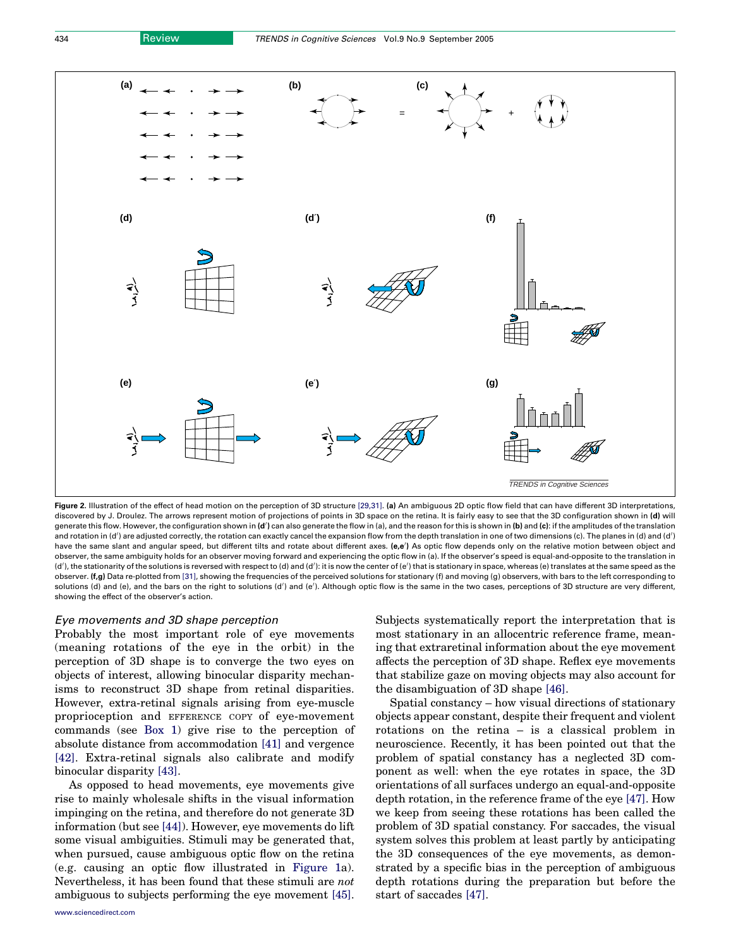<span id="page-3-0"></span>

Figure 2. Illustration of the effect of head motion on the perception of 3D structure [29.31]. (a) An ambiguous 2D optic flow field that can have different 3D interpretations, discovered by J. Droulez. The arrows represent motion of projections of points in 3D space on the retina. It is fairly easy to see that the 3D configuration shown in (d) will generate this flow. However, the configuration shown in (d') can also generate the flow in (a), and the reason for this is shown in (b) and (c): if the amplitudes of the translation and rotation in (d') are adjusted correctly, the rotation can exactly cancel the expansion flow from the depth translation in one of two dimensions (c). The planes in (d) and (d') have the same slant and angular speed, but different tilts and rotate about different axes. (e,e') As optic flow depends only on the relative motion between object and observer, the same ambiguity holds for an observer moving forward and experiencing the optic flow in (a). If the observer's speed is equal-and-opposite to the translation in (d'), the stationarity of the solutions is reversed with respect to (d) and (d'): it is now the center of (e') that is stationary in space, whereas (e) translates at the same speed as the observer. (f,g) Data re-plotted from [\[31\]](#page-6-0), showing the frequencies of the perceived solutions for stationary (f) and moving (g) observers, with bars to the left corresponding to solutions (d) and (e), and the bars on the right to solutions (d') and (e'). Although optic flow is the same in the two cases, perceptions of 3D structure are very different, showing the effect of the observer's action.

#### Eye movements and 3D shape perception

Probably the most important role of eye movements (meaning rotations of the eye in the orbit) in the perception of 3D shape is to converge the two eyes on objects of interest, allowing binocular disparity mechanisms to reconstruct 3D shape from retinal disparities. However, extra-retinal signals arising from eye-muscle proprioception and EFFERENCE COPY of eye-movement commands (see Box 1) give rise to the perception of absolute distance from accommodation [\[41\]](#page-7-0) and vergence [\[42\].](#page-7-0) Extra-retinal signals also calibrate and modify binocular disparity [\[43\].](#page-7-0)

As opposed to head movements, eye movements give rise to mainly wholesale shifts in the visual information impinging on the retina, and therefore do not generate 3D information (but see [\[44\]](#page-7-0)). However, eye movements do lift some visual ambiguities. Stimuli may be generated that, when pursued, cause ambiguous optic flow on the retina (e.g. causing an optic flow illustrated in [Figure 1a](#page-1-0)). Nevertheless, it has been found that these stimuli are not ambiguous to subjects performing the eye movement [\[45\]](#page-7-0). Subjects systematically report the interpretation that is most stationary in an allocentric reference frame, meaning that extraretinal information about the eye movement affects the perception of 3D shape. Reflex eye movements that stabilize gaze on moving objects may also account for the disambiguation of 3D shape [\[46\].](#page-7-0)

Spatial constancy – how visual directions of stationary objects appear constant, despite their frequent and violent rotations on the retina – is a classical problem in neuroscience. Recently, it has been pointed out that the problem of spatial constancy has a neglected 3D component as well: when the eye rotates in space, the 3D orientations of all surfaces undergo an equal-and-opposite depth rotation, in the reference frame of the eye [\[47\].](#page-7-0) How we keep from seeing these rotations has been called the problem of 3D spatial constancy. For saccades, the visual system solves this problem at least partly by anticipating the 3D consequences of the eye movements, as demonstrated by a specific bias in the perception of ambiguous depth rotations during the preparation but before the start of saccades [\[47\].](#page-7-0)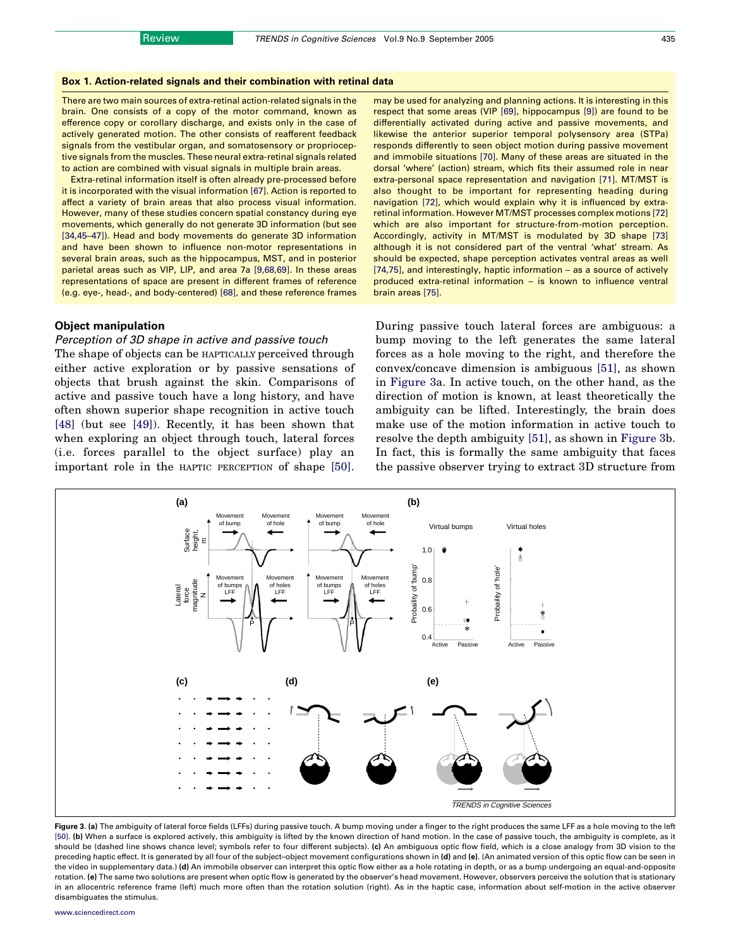#### <span id="page-4-0"></span>Box 1. Action-related signals and their combination with retinal data

There are two main sources of extra-retinal action-related signals in the brain. One consists of a copy of the motor command, known as efference copy or corollary discharge, and exists only in the case of actively generated motion. The other consists of reafferent feedback signals from the vestibular organ, and somatosensory or proprioceptive signals from the muscles. These neural extra-retinal signals related to action are combined with visual signals in multiple brain areas.

Extra-retinal information itself is often already pre-processed before it is incorporated with the visual information [\[67\]](#page-7-0). Action is reported to affect a variety of brain areas that also process visual information. However, many of these studies concern spatial constancy during eye movements, which generally do not generate 3D information (but see [\[34,45–47\]](#page-6-0)). Head and body movements do generate 3D information and have been shown to influence non-motor representations in several brain areas, such as the hippocampus, MST, and in posterior parietal areas such as VIP, LIP, and area 7a [\[9,68,69\].](#page-6-0) In these areas representations of space are present in different frames of reference (e.g. eye-, head-, and body-centered) [\[68\],](#page-7-0) and these reference frames

#### Object manipulation

# Perception of 3D shape in active and passive touch

The shape of objects can be HAPTICALLY perceived through either active exploration or by passive sensations of objects that brush against the skin. Comparisons of active and passive touch have a long history, and have often shown superior shape recognition in active touch [\[48\]](#page-7-0) (but see [\[49\]](#page-7-0)). Recently, it has been shown that when exploring an object through touch, lateral forces (i.e. forces parallel to the object surface) play an important role in the HAPTIC PERCEPTION of shape [\[50\]](#page-7-0). may be used for analyzing and planning actions. It is interesting in this respect that some areas (VIP [\[69\],](#page-7-0) hippocampus [\[9\]](#page-6-0)) are found to be differentially activated during active and passive movements, and likewise the anterior superior temporal polysensory area (STPa) responds differently to seen object motion during passive movement and immobile situations [\[70\]](#page-7-0). Many of these areas are situated in the dorsal 'where' (action) stream, which fits their assumed role in near extra-personal space representation and navigation [\[71\]](#page-7-0). MT/MST is also thought to be important for representing heading during navigation [\[72\]](#page-7-0), which would explain why it is influenced by extraretinal information. However MT/MST processes complex motions [\[72\]](#page-7-0) which are also important for structure-from-motion perception. Accordingly, activity in MT/MST is modulated by 3D shape [\[73\]](#page-7-0) although it is not considered part of the ventral 'what' stream. As should be expected, shape perception activates ventral areas as well [\[74,75\],](#page-7-0) and interestingly, haptic information – as a source of actively produced extra-retinal information – is known to influence ventral brain areas [\[75\].](#page-7-0)

During passive touch lateral forces are ambiguous: a bump moving to the left generates the same lateral forces as a hole moving to the right, and therefore the convex/concave dimension is ambiguous [\[51\]](#page-7-0), as shown in Figure 3a. In active touch, on the other hand, as the direction of motion is known, at least theoretically the ambiguity can be lifted. Interestingly, the brain does make use of the motion information in active touch to resolve the depth ambiguity [\[51\]](#page-7-0), as shown in Figure 3b. In fact, this is formally the same ambiguity that faces the passive observer trying to extract 3D structure from



Figure 3. (a) The ambiguity of lateral force fields (LFFs) during passive touch. A bump moving under a finger to the right produces the same LFF as a hole moving to the left [\[50\]](#page-7-0). (b) When a surface is explored actively, this ambiguity is lifted by the known direction of hand motion. In the case of passive touch, the ambiguity is complete, as it should be (dashed line shows chance level; symbols refer to four different subjects). (c) An ambiguous optic flow field, which is a close analogy from 3D vision to the preceding haptic effect. It is generated by all four of the subject-object movement configurations shown in (d) and (e). (An animated version of this optic flow can be seen in the video in supplementary data.) (d) An immobile observer can interpret this optic flow either as a hole rotating in depth, or as a bump undergoing an equal-and-opposite rotation. (e) The same two solutions are present when optic flow is generated by the observer's head movement. However, observers perceive the solution that is stationary in an allocentric reference frame (left) much more often than the rotation solution (right). As in the haptic case, information about self-motion in the active observer disambiguates the stimulus.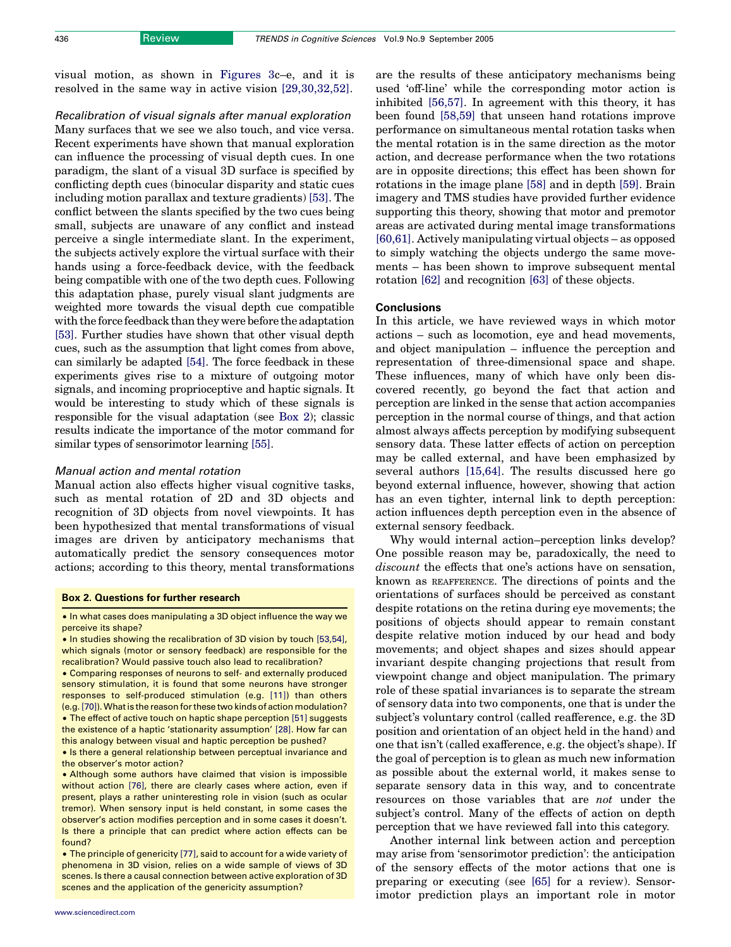visual motion, as shown in [Figures 3](#page-4-0)c–e, and it is resolved in the same way in active vision [\[29,30,32,52\]](#page-6-0).

Recalibration of visual signals after manual exploration Many surfaces that we see we also touch, and vice versa. Recent experiments have shown that manual exploration can influence the processing of visual depth cues. In one paradigm, the slant of a visual 3D surface is specified by conflicting depth cues (binocular disparity and static cues including motion parallax and texture gradients) [\[53\]](#page-7-0). The conflict between the slants specified by the two cues being small, subjects are unaware of any conflict and instead perceive a single intermediate slant. In the experiment, the subjects actively explore the virtual surface with their hands using a force-feedback device, with the feedback being compatible with one of the two depth cues. Following this adaptation phase, purely visual slant judgments are weighted more towards the visual depth cue compatible with the force feedback than they were before the adaptation [\[53\]](#page-7-0). Further studies have shown that other visual depth cues, such as the assumption that light comes from above, can similarly be adapted [\[54\]](#page-7-0). The force feedback in these experiments gives rise to a mixture of outgoing motor signals, and incoming proprioceptive and haptic signals. It would be interesting to study which of these signals is responsible for the visual adaptation (see Box 2); classic results indicate the importance of the motor command for similar types of sensorimotor learning [\[55\].](#page-7-0)

#### Manual action and mental rotation

Manual action also effects higher visual cognitive tasks, such as mental rotation of 2D and 3D objects and recognition of 3D objects from novel viewpoints. It has been hypothesized that mental transformations of visual images are driven by anticipatory mechanisms that automatically predict the sensory consequences motor actions; according to this theory, mental transformations

#### Box 2. Questions for further research

• Although some authors have claimed that vision is impossible without action [\[76\],](#page-7-0) there are clearly cases where action, even if present, plays a rather uninteresting role in vision (such as ocular tremor). When sensory input is held constant, in some cases the observer's action modifies perception and in some cases it doesn't. Is there a principle that can predict where action effects can be found?

• The principle of genericity [\[77\]](#page-7-0), said to account for a wide variety of phenomena in 3D vision, relies on a wide sample of views of 3D scenes. Is there a causal connection between active exploration of 3D scenes and the application of the genericity assumption?

are the results of these anticipatory mechanisms being used 'off-line' while the corresponding motor action is inhibited [\[56,57\]](#page-7-0). In agreement with this theory, it has been found [\[58,59\]](#page-7-0) that unseen hand rotations improve performance on simultaneous mental rotation tasks when the mental rotation is in the same direction as the motor action, and decrease performance when the two rotations are in opposite directions; this effect has been shown for rotations in the image plane [\[58\]](#page-7-0) and in depth [\[59\].](#page-7-0) Brain imagery and TMS studies have provided further evidence supporting this theory, showing that motor and premotor areas are activated during mental image transformations [\[60,61\].](#page-7-0) Actively manipulating virtual objects – as opposed to simply watching the objects undergo the same movements – has been shown to improve subsequent mental rotation [\[62\]](#page-7-0) and recognition [\[63\]](#page-7-0) of these objects.

# **Conclusions**

In this article, we have reviewed ways in which motor actions – such as locomotion, eye and head movements, and object manipulation – influence the perception and representation of three-dimensional space and shape. These influences, many of which have only been discovered recently, go beyond the fact that action and perception are linked in the sense that action accompanies perception in the normal course of things, and that action almost always affects perception by modifying subsequent sensory data. These latter effects of action on perception may be called external, and have been emphasized by several authors [\[15,64\].](#page-6-0) The results discussed here go beyond external influence, however, showing that action has an even tighter, internal link to depth perception: action influences depth perception even in the absence of external sensory feedback.

Why would internal action–perception links develop? One possible reason may be, paradoxically, the need to discount the effects that one's actions have on sensation, known as REAFFERENCE. The directions of points and the orientations of surfaces should be perceived as constant despite rotations on the retina during eye movements; the positions of objects should appear to remain constant despite relative motion induced by our head and body movements; and object shapes and sizes should appear invariant despite changing projections that result from viewpoint change and object manipulation. The primary role of these spatial invariances is to separate the stream of sensory data into two components, one that is under the subject's voluntary control (called reafference, e.g. the 3D position and orientation of an object held in the hand) and one that isn't (called exafference, e.g. the object's shape). If the goal of perception is to glean as much new information as possible about the external world, it makes sense to separate sensory data in this way, and to concentrate resources on those variables that are not under the subject's control. Many of the effects of action on depth perception that we have reviewed fall into this category.

Another internal link between action and perception may arise from 'sensorimotor prediction': the anticipation of the sensory effects of the motor actions that one is preparing or executing (see [\[65\]](#page-7-0) for a review). Sensorimotor prediction plays an important role in motor

<sup>•</sup> In what cases does manipulating a 3D object influence the way we perceive its shape?

<sup>•</sup> In studies showing the recalibration of 3D vision by touch [\[53,54\],](#page-7-0) which signals (motor or sensory feedback) are responsible for the recalibration? Would passive touch also lead to recalibration?

<sup>†</sup> Comparing responses of neurons to self- and externally produced sensory stimulation, it is found that some neurons have stronger responses to self-produced stimulation (e.g. [\[11\]\)](#page-6-0) than others (e.g. [\[70\]](#page-7-0)).What is the reason for these two kinds of action modulation? • The effect of active touch on haptic shape perception [\[51\]](#page-7-0) suggests the existence of a haptic 'stationarity assumption' [\[28\].](#page-6-0) How far can this analogy between visual and haptic perception be pushed?

<sup>•</sup> Is there a general relationship between perceptual invariance and the observer's motor action?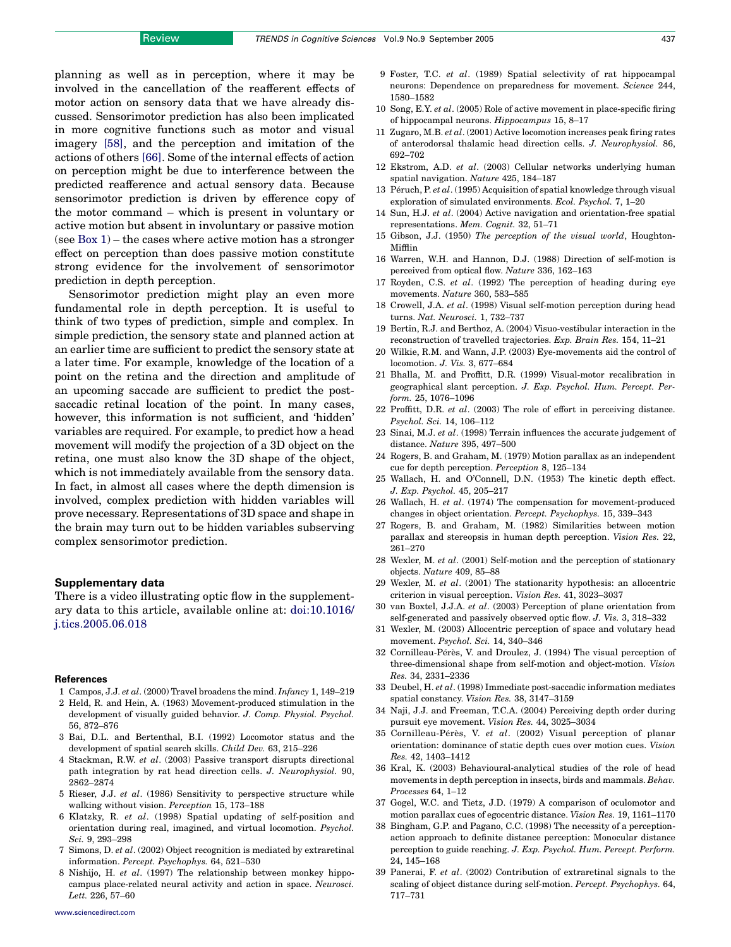<span id="page-6-0"></span>planning as well as in perception, where it may be involved in the cancellation of the reafferent effects of motor action on sensory data that we have already discussed. Sensorimotor prediction has also been implicated in more cognitive functions such as motor and visual imagery [\[58\]](#page-7-0), and the perception and imitation of the actions of others [\[66\].](#page-7-0) Some of the internal effects of action on perception might be due to interference between the predicted reafference and actual sensory data. Because sensorimotor prediction is driven by efference copy of the motor command – which is present in voluntary or active motion but absent in involuntary or passive motion (see Box 1) – the cases where active motion has a stronger effect on perception than does passive motion constitute strong evidence for the involvement of sensorimotor prediction in depth perception.

Sensorimotor prediction might play an even more fundamental role in depth perception. It is useful to think of two types of prediction, simple and complex. In simple prediction, the sensory state and planned action at an earlier time are sufficient to predict the sensory state at a later time. For example, knowledge of the location of a point on the retina and the direction and amplitude of an upcoming saccade are sufficient to predict the postsaccadic retinal location of the point. In many cases, however, this information is not sufficient, and 'hidden' variables are required. For example, to predict how a head movement will modify the projection of a 3D object on the retina, one must also know the 3D shape of the object, which is not immediately available from the sensory data. In fact, in almost all cases where the depth dimension is involved, complex prediction with hidden variables will prove necessary. Representations of 3D space and shape in the brain may turn out to be hidden variables subserving complex sensorimotor prediction.

#### Supplementary data

There is a video illustrating optic flow in the supplementary data to this article, available online at: [doi:10.1016/](http://dx.doi.org/doi:10.1016/j.tics.2005.06.018) [j.tics.2005.06.018](http://dx.doi.org/doi:10.1016/j.tics.2005.06.018)

#### References

- 1 Campos, J.J. et al. (2000) Travel broadens the mind. Infancy 1, 149–219
- 2 Held, R. and Hein, A. (1963) Movement-produced stimulation in the development of visually guided behavior. J. Comp. Physiol. Psychol. 56, 872–876
- 3 Bai, D.L. and Bertenthal, B.I. (1992) Locomotor status and the development of spatial search skills. Child Dev. 63, 215–226
- 4 Stackman, R.W. et al. (2003) Passive transport disrupts directional path integration by rat head direction cells. J. Neurophysiol. 90, 2862–2874
- 5 Rieser, J.J. et al. (1986) Sensitivity to perspective structure while walking without vision. Perception 15, 173–188
- 6 Klatzky, R. et al. (1998) Spatial updating of self-position and orientation during real, imagined, and virtual locomotion. Psychol. Sci. 9, 293–298
- 7 Simons, D. et al. (2002) Object recognition is mediated by extraretinal information. Percept. Psychophys. 64, 521–530
- 8 Nishijo, H. et al. (1997) The relationship between monkey hippocampus place-related neural activity and action in space. Neurosci. Lett. 226, 57–60
- 
- 9 Foster, T.C. et al. (1989) Spatial selectivity of rat hippocampal neurons: Dependence on preparedness for movement. Science 244, 1580–1582
- 10 Song, E.Y. et al. (2005) Role of active movement in place-specific firing of hippocampal neurons. Hippocampus 15, 8–17
- 11 Zugaro, M.B. et al. (2001) Active locomotion increases peak firing rates of anterodorsal thalamic head direction cells. J. Neurophysiol. 86, 692–702
- 12 Ekstrom, A.D. et al. (2003) Cellular networks underlying human spatial navigation. Nature 425, 184–187
- 13 Péruch, P. et al. (1995) Acquisition of spatial knowledge through visual exploration of simulated environments. Ecol. Psychol. 7, 1–20
- 14 Sun, H.J. et al. (2004) Active navigation and orientation-free spatial representations. Mem. Cognit. 32, 51–71
- 15 Gibson, J.J. (1950) The perception of the visual world, Houghton-Mifflin
- 16 Warren, W.H. and Hannon, D.J. (1988) Direction of self-motion is perceived from optical flow. Nature 336, 162–163
- 17 Royden, C.S. et al. (1992) The perception of heading during eye movements. Nature 360, 583–585
- 18 Crowell, J.A. et al. (1998) Visual self-motion perception during head turns. Nat. Neurosci. 1, 732–737
- 19 Bertin, R.J. and Berthoz, A. (2004) Visuo-vestibular interaction in the reconstruction of travelled trajectories. Exp. Brain Res. 154, 11–21
- 20 Wilkie, R.M. and Wann, J.P. (2003) Eye-movements aid the control of locomotion. J. Vis. 3, 677–684
- 21 Bhalla, M. and Proffitt, D.R. (1999) Visual-motor recalibration in geographical slant perception. J. Exp. Psychol. Hum. Percept. Perform. 25, 1076–1096
- 22 Proffitt, D.R. et al. (2003) The role of effort in perceiving distance. Psychol. Sci. 14, 106–112
- 23 Sinai, M.J. et al. (1998) Terrain influences the accurate judgement of distance. Nature 395, 497–500
- 24 Rogers, B. and Graham, M. (1979) Motion parallax as an independent cue for depth perception. Perception 8, 125–134
- 25 Wallach, H. and O'Connell, D.N. (1953) The kinetic depth effect. J. Exp. Psychol. 45, 205–217
- 26 Wallach, H. et al. (1974) The compensation for movement-produced changes in object orientation. Percept. Psychophys. 15, 339–343
- 27 Rogers, B. and Graham, M. (1982) Similarities between motion parallax and stereopsis in human depth perception. Vision Res. 22, 261–270
- 28 Wexler, M. et al. (2001) Self-motion and the perception of stationary objects. Nature 409, 85–88
- 29 Wexler, M. et al. (2001) The stationarity hypothesis: an allocentric criterion in visual perception. Vision Res. 41, 3023–3037
- 30 van Boxtel, J.J.A. et al. (2003) Perception of plane orientation from self-generated and passively observed optic flow. J. Vis. 3, 318–332
- 31 Wexler, M. (2003) Allocentric perception of space and volutary head movement. Psychol. Sci. 14, 340–346
- 32 Cornilleau-Pérès, V. and Droulez, J. (1994) The visual perception of three-dimensional shape from self-motion and object-motion. Vision Res. 34, 2331–2336
- 33 Deubel, H. et al. (1998) Immediate post-saccadic information mediates spatial constancy. Vision Res. 38, 3147–3159
- 34 Naji, J.J. and Freeman, T.C.A. (2004) Perceiving depth order during pursuit eye movement. Vision Res. 44, 3025–3034
- 35 Cornilleau-Pérès, V. et al. (2002) Visual perception of planar orientation: dominance of static depth cues over motion cues. Vision Res. 42, 1403–1412
- 36 Kral, K. (2003) Behavioural-analytical studies of the role of head movements in depth perception in insects, birds and mammals. Behav. Processes 64, 1–12
- 37 Gogel, W.C. and Tietz, J.D. (1979) A comparison of oculomotor and motion parallax cues of egocentric distance. Vision Res. 19, 1161–1170
- 38 Bingham, G.P. and Pagano, C.C. (1998) The necessity of a perceptionaction approach to definite distance perception: Monocular distance perception to guide reaching. J. Exp. Psychol. Hum. Percept. Perform. 24, 145–168
- 39 Panerai, F. et al. (2002) Contribution of extraretinal signals to the scaling of object distance during self-motion. Percept. Psychophys. 64, 717–731